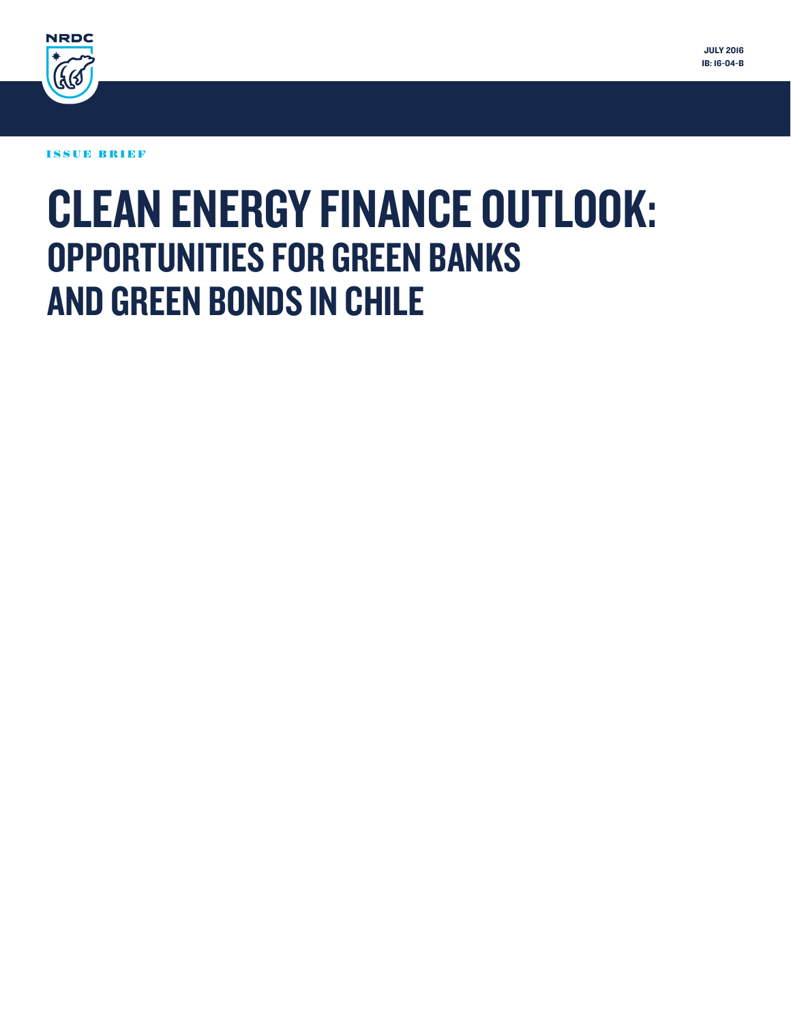

ISSUE BRIEF

# CLEAN ENERGY FINANCE OUTLOOK: OPPORTUNITIES FOR GREEN BANKS AND GREEN BONDS IN CHILE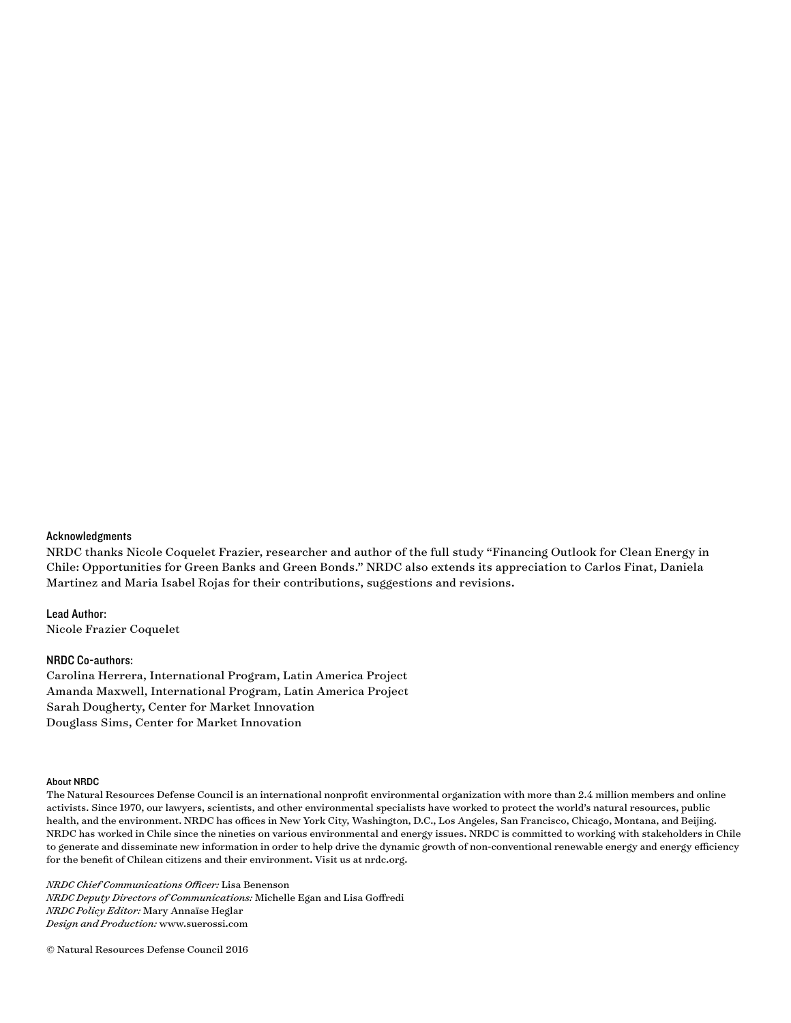#### Acknowledgments

NRDC thanks Nicole Coquelet Frazier, researcher and author of the full study "Financing Outlook for Clean Energy in Chile: Opportunities for Green Banks and Green Bonds." NRDC also extends its appreciation to Carlos Finat, Daniela Martinez and Maria Isabel Rojas for their contributions, suggestions and revisions.

Lead Author: Nicole Frazier Coquelet

#### NRDC Co-authors:

Carolina Herrera, International Program, Latin America Project Amanda Maxwell, International Program, Latin America Project Sarah Dougherty, Center for Market Innovation Douglass Sims, Center for Market Innovation

#### About NRDC

The Natural Resources Defense Council is an international nonprofit environmental organization with more than 2.4 million members and online activists. Since 1970, our lawyers, scientists, and other environmental specialists have worked to protect the world's natural resources, public health, and the environment. NRDC has offices in New York City, Washington, D.C., Los Angeles, San Francisco, Chicago, Montana, and Beijing. NRDC has worked in Chile since the nineties on various environmental and energy issues. NRDC is committed to working with stakeholders in Chile to generate and disseminate new information in order to help drive the dynamic growth of non-conventional renewable energy and energy efficiency for the benefit of Chilean citizens and their environment. Visit us at nrdc.org.

*NRDC Chief Communications Officer:* Lisa Benenson *NRDC Deputy Directors of Communications:* Michelle Egan and Lisa Goffredi *NRDC Policy Editor:* Mary Annaïse Heglar *Design and Production:* www.suerossi.com

© Natural Resources Defense Council 2016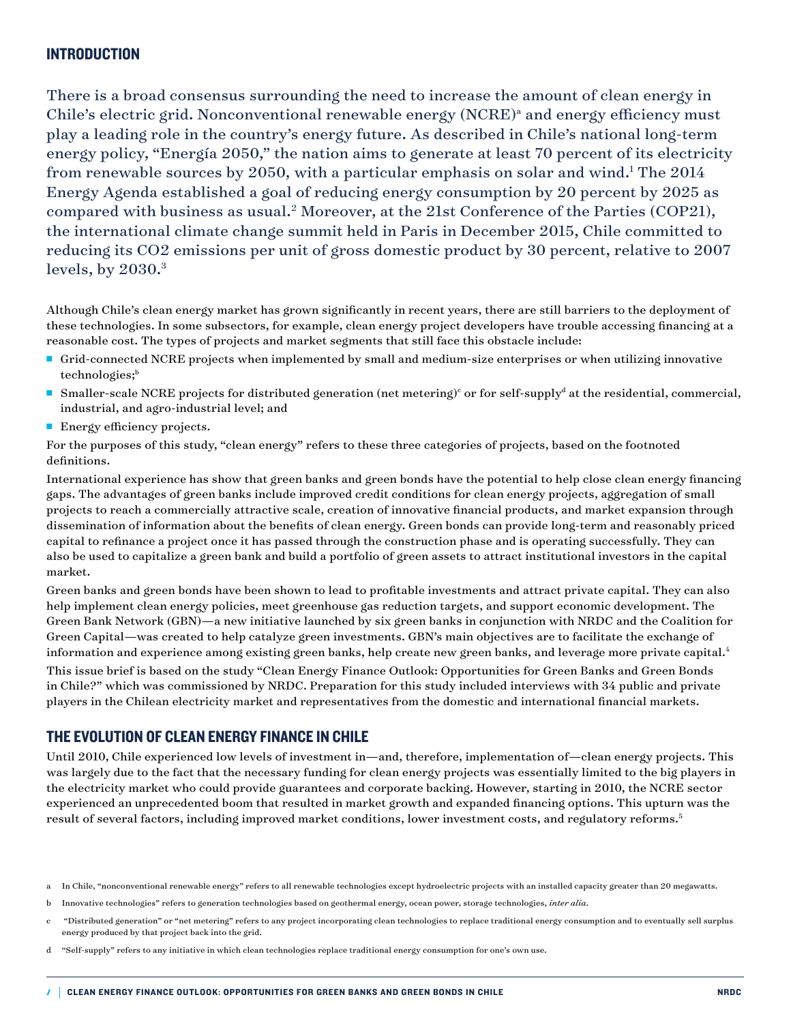# **INTRODUCTION**

There is a broad consensus surrounding the need to increase the amount of clean energy in Chile's electric grid. Nonconventional renewable energy (NCRE)<sup>a</sup> and energy efficiency must play a leading role in the country's energy future. As described in Chile's national long-term energy policy, "Energía 2050," the nation aims to generate at least 70 percent of its electricity from renewable sources by 2050, with a particular emphasis on solar and wind.<sup>1</sup> The 2014 Energy Agenda established a goal of reducing energy consumption by 20 percent by 2025 as compared with business as usual.<sup>2</sup> Moreover, at the 21st Conference of the Parties (COP21), the international climate change summit held in Paris in December 2015, Chile committed to reducing its CO2 emissions per unit of gross domestic product by 30 percent, relative to 2007 levels, by  $2030.^3$ 

Although Chile's clean energy market has grown significantly in recent years, there are still barriers to the deployment of these technologies. In some subsectors, for example, clean energy project developers have trouble accessing financing at a reasonable cost. The types of projects and market segments that still face this obstacle include:

- <sup>n</sup> Grid-connected NCRE projects when implemented by small and medium-size enterprises or when utilizing innovative technologies;<sup>b</sup>
- Smaller-scale NCRE projects for distributed generation (net metering)<sup>c</sup> or for self-supply<sup>d</sup> at the residential, commercial, industrial, and agro-industrial level; and
- **Energy efficiency projects.**

For the purposes of this study, "clean energy" refers to these three categories of projects, based on the footnoted definitions.

International experience has show that green banks and green bonds have the potential to help close clean energy financing gaps. The advantages of green banks include improved credit conditions for clean energy projects, aggregation of small projects to reach a commercially attractive scale, creation of innovative financial products, and market expansion through dissemination of information about the benefits of clean energy. Green bonds can provide long-term and reasonably priced capital to refinance a project once it has passed through the construction phase and is operating successfully. They can also be used to capitalize a green bank and build a portfolio of green assets to attract institutional investors in the capital market.

Green banks and green bonds have been shown to lead to profitable investments and attract private capital. They can also help implement clean energy policies, meet greenhouse gas reduction targets, and support economic development. The Green Bank Network (GBN)—a new initiative launched by six green banks in conjunction with NRDC and the Coalition for Green Capital—was created to help catalyze green investments. GBN's main objectives are to facilitate the exchange of information and experience among existing green banks, help create new green banks, and leverage more private capital.<sup>4</sup> This issue brief is based on the study "Clean Energy Finance Outlook: Opportunities for Green Banks and Green Bonds in Chile?" which was commissioned by NRDC. Preparation for this study included interviews with 34 public and private players in the Chilean electricity market and representatives from the domestic and international financial markets.

### THE EVOLUTION OF CLEAN ENERGY FINANCE IN CHILE

Until 2010, Chile experienced low levels of investment in—and, therefore, implementation of—clean energy projects. This was largely due to the fact that the necessary funding for clean energy projects was essentially limited to the big players in the electricity market who could provide guarantees and corporate backing. However, starting in 2010, the NCRE sector experienced an unprecedented boom that resulted in market growth and expanded financing options. This upturn was the result of several factors, including improved market conditions, lower investment costs, and regulatory reforms.<sup>5</sup>

a In Chile, "nonconventional renewable energy" refers to all renewable technologies except hydroelectric projects with an installed capacity greater than 20 megawatts.

b Innovative technologies" refers to generation technologies based on geothermal energy, ocean power, storage technologies, *inter alia*.

c "Distributed generation" or "net metering" refers to any project incorporating clean technologies to replace traditional energy consumption and to eventually sell surplus energy produced by that project back into the grid.

d "Self-supply" refers to any initiative in which clean technologies replace traditional energy consumption for one's own use.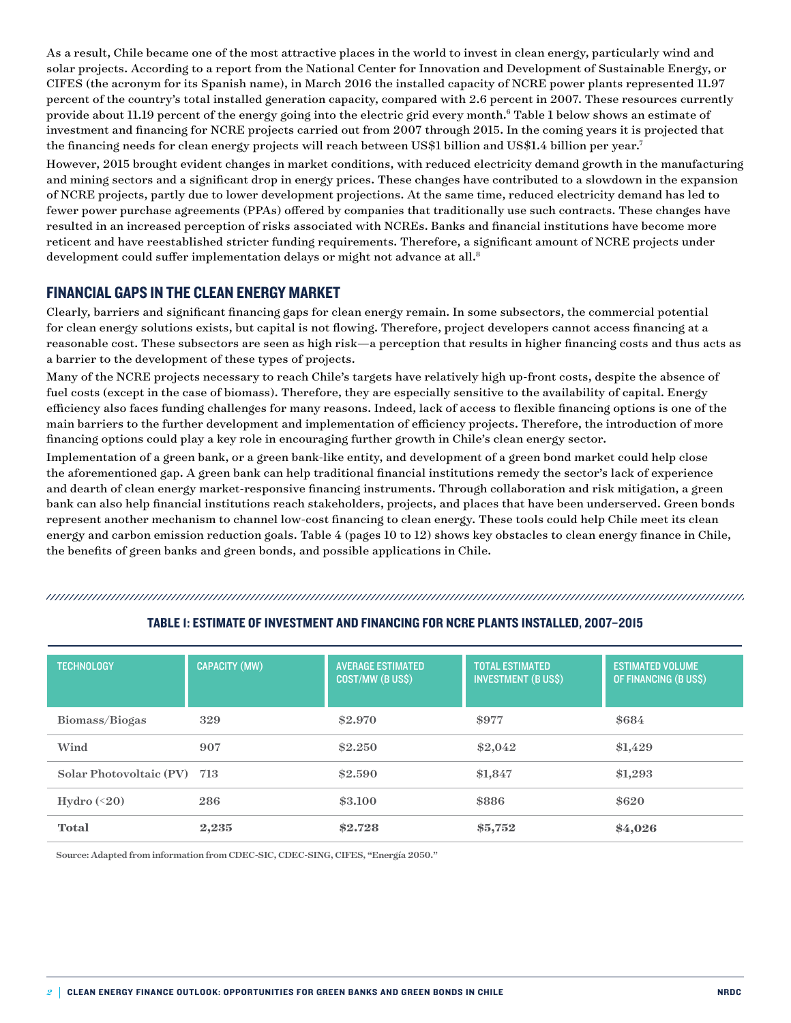As a result, Chile became one of the most attractive places in the world to invest in clean energy, particularly wind and solar projects. According to a report from the National Center for Innovation and Development of Sustainable Energy, or CIFES (the acronym for its Spanish name), in March 2016 the installed capacity of NCRE power plants represented 11.97 percent of the country's total installed generation capacity, compared with 2.6 percent in 2007. These resources currently provide about 11.19 percent of the energy going into the electric grid every month. $^6$  Table 1 below shows an estimate of investment and financing for NCRE projects carried out from 2007 through 2015. In the coming years it is projected that the financing needs for clean energy projects will reach between US\$1 billion and US\$1.4 billion per year.<sup>7</sup>

However, 2015 brought evident changes in market conditions, with reduced electricity demand growth in the manufacturing and mining sectors and a significant drop in energy prices. These changes have contributed to a slowdown in the expansion of NCRE projects, partly due to lower development projections. At the same time, reduced electricity demand has led to fewer power purchase agreements (PPAs) offered by companies that traditionally use such contracts. These changes have resulted in an increased perception of risks associated with NCREs. Banks and financial institutions have become more reticent and have reestablished stricter funding requirements. Therefore, a significant amount of NCRE projects under development could suffer implementation delays or might not advance at all.<sup>8</sup>

# FINANCIAL GAPS IN THE CLEAN ENERGY MARKET

Clearly, barriers and significant financing gaps for clean energy remain. In some subsectors, the commercial potential for clean energy solutions exists, but capital is not flowing. Therefore, project developers cannot access financing at a reasonable cost. These subsectors are seen as high risk—a perception that results in higher financing costs and thus acts as a barrier to the development of these types of projects.

Many of the NCRE projects necessary to reach Chile's targets have relatively high up-front costs, despite the absence of fuel costs (except in the case of biomass). Therefore, they are especially sensitive to the availability of capital. Energy efficiency also faces funding challenges for many reasons. Indeed, lack of access to flexible financing options is one of the main barriers to the further development and implementation of efficiency projects. Therefore, the introduction of more financing options could play a key role in encouraging further growth in Chile's clean energy sector.

Implementation of a green bank, or a green bank-like entity, and development of a green bond market could help close the aforementioned gap. A green bank can help traditional financial institutions remedy the sector's lack of experience and dearth of clean energy market-responsive financing instruments. Through collaboration and risk mitigation, a green bank can also help financial institutions reach stakeholders, projects, and places that have been underserved. Green bonds represent another mechanism to channel low-cost financing to clean energy. These tools could help Chile meet its clean energy and carbon emission reduction goals. Table 4 (pages 10 to 12) shows key obstacles to clean energy finance in Chile, the benefits of green banks and green bonds, and possible applications in Chile.

|--|

| <b>TECHNOLOGY</b>           | <b>CAPACITY (MW)</b> | <b>AVERAGE ESTIMATED</b><br>COST/MW (B US\$) | <b>TOTAL ESTIMATED</b><br><b>INVESTMENT (B US\$)</b> | <b>ESTIMATED VOLUME</b><br>OF FINANCING (B US\$) |
|-----------------------------|----------------------|----------------------------------------------|------------------------------------------------------|--------------------------------------------------|
| Biomass/Biogas              | 329                  | \$2.970                                      | \$977                                                | \$684                                            |
| Wind                        | 907                  | \$2,250                                      | \$2,042                                              | \$1,429                                          |
| Solar Photovoltaic (PV) 713 |                      | \$2.590                                      | \$1,847                                              | \$1,293                                          |
| Hydro $(20)$                | 286                  | \$3,100                                      | \$886                                                | \$620                                            |
| <b>Total</b>                | 2,235                | \$2.728                                      | \$5,752                                              | \$4,026                                          |

# ESTIMATE OF INVESTMENT AND FINANCING FOR NCRE PLANTS INSTALLED, 2007–2015 TABLE 1: ESTIMATE OF INVESTMENT AND FINANCING FOR NCRE PLANTS INSTALLED, 2007–2015

Source: Adapted from information from CDEC-SIC, CDEC-SING, CIFES, "Energía 2050."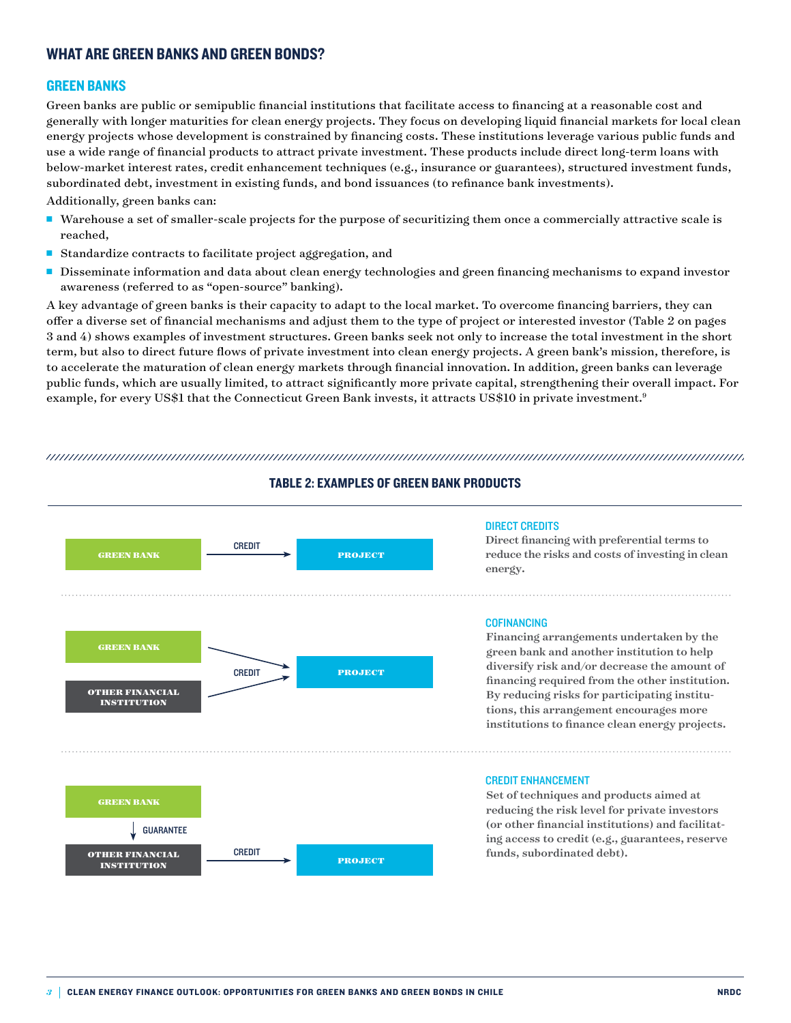# WHAT ARE GREEN BANKS AND GREEN BONDS?

#### GREEN BANKS

Green banks are public or semipublic financial institutions that facilitate access to financing at a reasonable cost and generally with longer maturities for clean energy projects. They focus on developing liquid financial markets for local clean energy projects whose development is constrained by financing costs. These institutions leverage various public funds and use a wide range of financial products to attract private investment. These products include direct long-term loans with below-market interest rates, credit enhancement techniques (e.g., insurance or guarantees), structured investment funds, subordinated debt, investment in existing funds, and bond issuances (to refinance bank investments).

Additionally, green banks can:

- <sup>n</sup> Warehouse a set of smaller-scale projects for the purpose of securitizing them once a commercially attractive scale is reached,
- Standardize contracts to facilitate project aggregation, and
- Disseminate information and data about clean energy technologies and green financing mechanisms to expand investor awareness (referred to as "open-source" banking).

A key advantage of green banks is their capacity to adapt to the local market. To overcome financing barriers, they can offer a diverse set of financial mechanisms and adjust them to the type of project or interested investor (Table 2 on pages 3 and 4) shows examples of investment structures. Green banks seek not only to increase the total investment in the short term, but also to direct future flows of private investment into clean energy projects. A green bank's mission, therefore, is to accelerate the maturation of clean energy markets through financial innovation. In addition, green banks can leverage public funds, which are usually limited, to attract significantly more private capital, strengthening their overall impact. For example, for every US\$1 that the Connecticut Green Bank invests, it attracts US\$10 in private investment.<sup>9</sup>

TABLE 2: EXAMPLE 2: EXAMPLE 2: EXAMPLE 2: EXAMPLE 2: EXAMPLE 2: EXAMPLE 2: EXAMPLE 2: EXAMPLE 2: EXAMPLE 2: EXAMPLE 2: EXAMPLE 2: EXAMPLE 2: EXAMPLE 2: EXAMPLE 2: EXAMPLE 2: EXAMPLE 2: EXAMPLE 2: EXAMPLE 2: EXAMPLE 2: EXAM



TABLE 2: EXAMPLES OF GREEN BANK PRODUCTS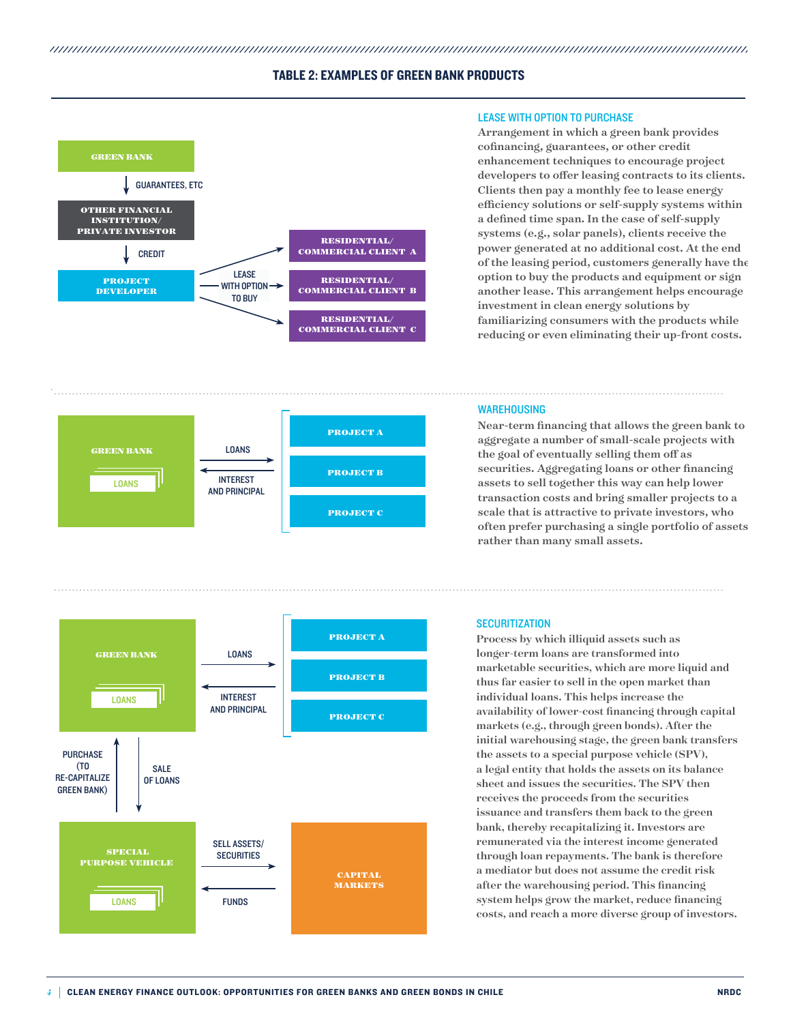#### TABLE 2: EXAMPLES OF GREEN BANK PRODUCTS







#### LEASE WITH OPTION TO PURCHASE

Arrangement in which a green bank provides cofinancing, guarantees, or other credit enhancement techniques to encourage project developers to offer leasing contracts to its clients. Clients then pay a monthly fee to lease energy efficiency solutions or self-supply systems within a defined time span. In the case of self-supply systems (e.g., solar panels), clients receive the power generated at no additional cost. At the end of the leasing period, customers generally have the option to buy the products and equipment or sign another lease. This arrangement helps encourage investment in clean energy solutions by familiarizing consumers with the products while reducing or even eliminating their up-front costs.

#### WAREHOUSING

Near-term financing that allows the green bank to aggregate a number of small-scale projects with the goal of eventually selling them off as securities. Aggregating loans or other financing assets to sell together this way can help lower transaction costs and bring smaller projects to a scale that is attractive to private investors, who often prefer purchasing a single portfolio of assets rather than many small assets.

#### **SECURITIZATION**

Process by which illiquid assets such as longer-term loans are transformed into marketable securities, which are more liquid and thus far easier to sell in the open market than individual loans. This helps increase the availability of lower-cost financing through capital markets (e.g., through green bonds). After the initial warehousing stage, the green bank transfers the assets to a special purpose vehicle (SPV), a legal entity that holds the assets on its balance sheet and issues the securities. The SPV then receives the proceeds from the securities issuance and transfers them back to the green bank, thereby recapitalizing it. Investors are remunerated via the interest income generated through loan repayments. The bank is therefore a mediator but does not assume the credit risk after the warehousing period. This financing system helps grow the market, reduce financing costs, and reach a more diverse group of investors.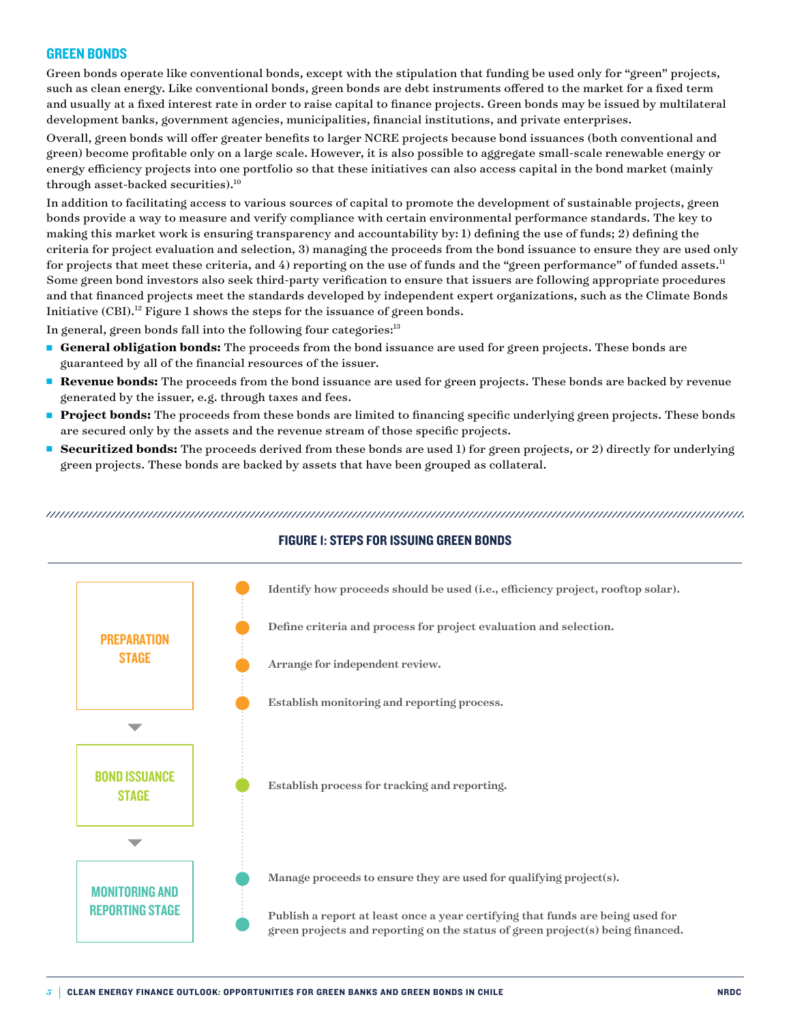#### GREEN BONDS

Green bonds operate like conventional bonds, except with the stipulation that funding be used only for "green" projects, such as clean energy. Like conventional bonds, green bonds are debt instruments offered to the market for a fixed term and usually at a fixed interest rate in order to raise capital to finance projects. Green bonds may be issued by multilateral development banks, government agencies, municipalities, financial institutions, and private enterprises.

Overall, green bonds will offer greater benefits to larger NCRE projects because bond issuances (both conventional and green) become profitable only on a large scale. However, it is also possible to aggregate small-scale renewable energy or energy efficiency projects into one portfolio so that these initiatives can also access capital in the bond market (mainly through asset-backed securities).10

In addition to facilitating access to various sources of capital to promote the development of sustainable projects, green bonds provide a way to measure and verify compliance with certain environmental performance standards. The key to making this market work is ensuring transparency and accountability by: 1) defining the use of funds; 2) defining the criteria for project evaluation and selection, 3) managing the proceeds from the bond issuance to ensure they are used only for projects that meet these criteria, and 4) reporting on the use of funds and the "green performance" of funded assets.<sup>11</sup> Some green bond investors also seek third-party verification to ensure that issuers are following appropriate procedures and that financed projects meet the standards developed by independent expert organizations, such as the Climate Bonds Initiative  $(CBI)^{12}$  Figure 1 shows the steps for the issuance of green bonds.

In general, green bonds fall into the following four categories: $13$ 

- <sup>n</sup> **General obligation bonds:** The proceeds from the bond issuance are used for green projects. These bonds are guaranteed by all of the financial resources of the issuer.
- **Revenue bonds:** The proceeds from the bond issuance are used for green projects. These bonds are backed by revenue generated by the issuer, e.g. through taxes and fees.
- **Project bonds:** The proceeds from these bonds are limited to financing specific underlying green projects. These bonds are secured only by the assets and the revenue stream of those specific projects.
- **Example 3 Securitized bonds:** The proceeds derived from these bonds are used 1) for green projects, or 2) directly for underlying green projects. These bonds are backed by assets that have been grouped as collateral.

TUURE 1: ISSUURE 1: STEPS FOR ISSUURE 1: STEPS FOR ISSUURE 1: STEPS FOR ISSUURE 1: STEPS FOR ISSUURE 1: STEPS



### FIGURE 1: STEPS FOR ISSUING GREEN BONDS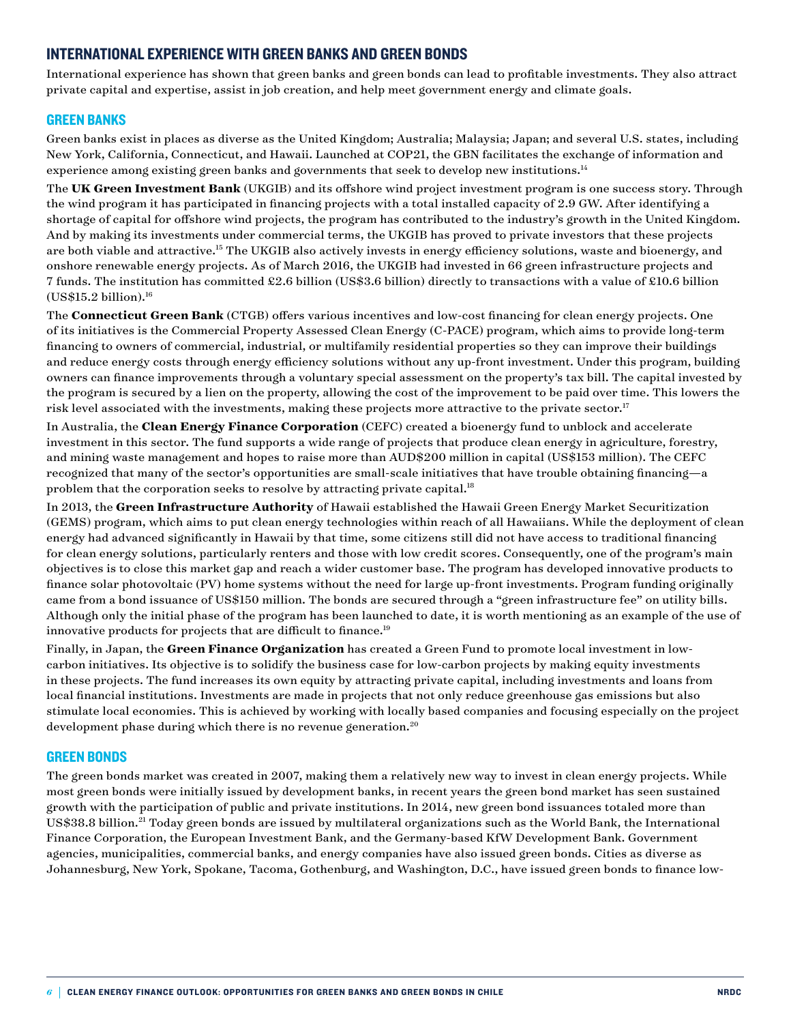## INTERNATIONAL EXPERIENCE WITH GREEN BANKS AND GREEN BONDS

International experience has shown that green banks and green bonds can lead to profitable investments. They also attract private capital and expertise, assist in job creation, and help meet government energy and climate goals.

#### GREEN BANKS

Green banks exist in places as diverse as the United Kingdom; Australia; Malaysia; Japan; and several U.S. states, including New York, California, Connecticut, and Hawaii. Launched at COP21, the GBN facilitates the exchange of information and experience among existing green banks and governments that seek to develop new institutions.<sup>14</sup>

The **UK Green Investment Bank** (UKGIB) and its offshore wind project investment program is one success story. Through the wind program it has participated in financing projects with a total installed capacity of 2.9 GW. After identifying a shortage of capital for offshore wind projects, the program has contributed to the industry's growth in the United Kingdom. And by making its investments under commercial terms, the UKGIB has proved to private investors that these projects are both viable and attractive.15 The UKGIB also actively invests in energy efficiency solutions, waste and bioenergy, and onshore renewable energy projects. As of March 2016, the UKGIB had invested in 66 green infrastructure projects and 7 funds. The institution has committed £2.6 billion (US\$3.6 billion) directly to transactions with a value of £10.6 billion  $(US$15.2 billion).<sup>16</sup>$ 

The **Connecticut Green Bank** (CTGB) offers various incentives and low-cost financing for clean energy projects. One of its initiatives is the Commercial Property Assessed Clean Energy (C-PACE) program, which aims to provide long-term financing to owners of commercial, industrial, or multifamily residential properties so they can improve their buildings and reduce energy costs through energy efficiency solutions without any up-front investment. Under this program, building owners can finance improvements through a voluntary special assessment on the property's tax bill. The capital invested by the program is secured by a lien on the property, allowing the cost of the improvement to be paid over time. This lowers the risk level associated with the investments, making these projects more attractive to the private sector.<sup>17</sup>

In Australia, the **Clean Energy Finance Corporation** (CEFC) created a bioenergy fund to unblock and accelerate investment in this sector. The fund supports a wide range of projects that produce clean energy in agriculture, forestry, and mining waste management and hopes to raise more than AUD\$200 million in capital (US\$153 million). The CEFC recognized that many of the sector's opportunities are small-scale initiatives that have trouble obtaining financing—a problem that the corporation seeks to resolve by attracting private capital.<sup>18</sup>

In 2013, the **Green Infrastructure Authority** of Hawaii established the Hawaii Green Energy Market Securitization (GEMS) program, which aims to put clean energy technologies within reach of all Hawaiians. While the deployment of clean energy had advanced significantly in Hawaii by that time, some citizens still did not have access to traditional financing for clean energy solutions, particularly renters and those with low credit scores. Consequently, one of the program's main objectives is to close this market gap and reach a wider customer base. The program has developed innovative products to finance solar photovoltaic (PV) home systems without the need for large up-front investments. Program funding originally came from a bond issuance of US\$150 million. The bonds are secured through a "green infrastructure fee" on utility bills. Although only the initial phase of the program has been launched to date, it is worth mentioning as an example of the use of innovative products for projects that are difficult to finance.<sup>19</sup>

Finally, in Japan, the **Green Finance Organization** has created a Green Fund to promote local investment in lowcarbon initiatives. Its objective is to solidify the business case for low-carbon projects by making equity investments in these projects. The fund increases its own equity by attracting private capital, including investments and loans from local financial institutions. Investments are made in projects that not only reduce greenhouse gas emissions but also stimulate local economies. This is achieved by working with locally based companies and focusing especially on the project development phase during which there is no revenue generation.<sup>20</sup>

#### GREEN BONDS

The green bonds market was created in 2007, making them a relatively new way to invest in clean energy projects. While most green bonds were initially issued by development banks, in recent years the green bond market has seen sustained growth with the participation of public and private institutions. In 2014, new green bond issuances totaled more than US\$38.8 billion.21 Today green bonds are issued by multilateral organizations such as the World Bank, the International Finance Corporation, the European Investment Bank, and the Germany-based KfW Development Bank. Government agencies, municipalities, commercial banks, and energy companies have also issued green bonds. Cities as diverse as Johannesburg, New York, Spokane, Tacoma, Gothenburg, and Washington, D.C., have issued green bonds to finance low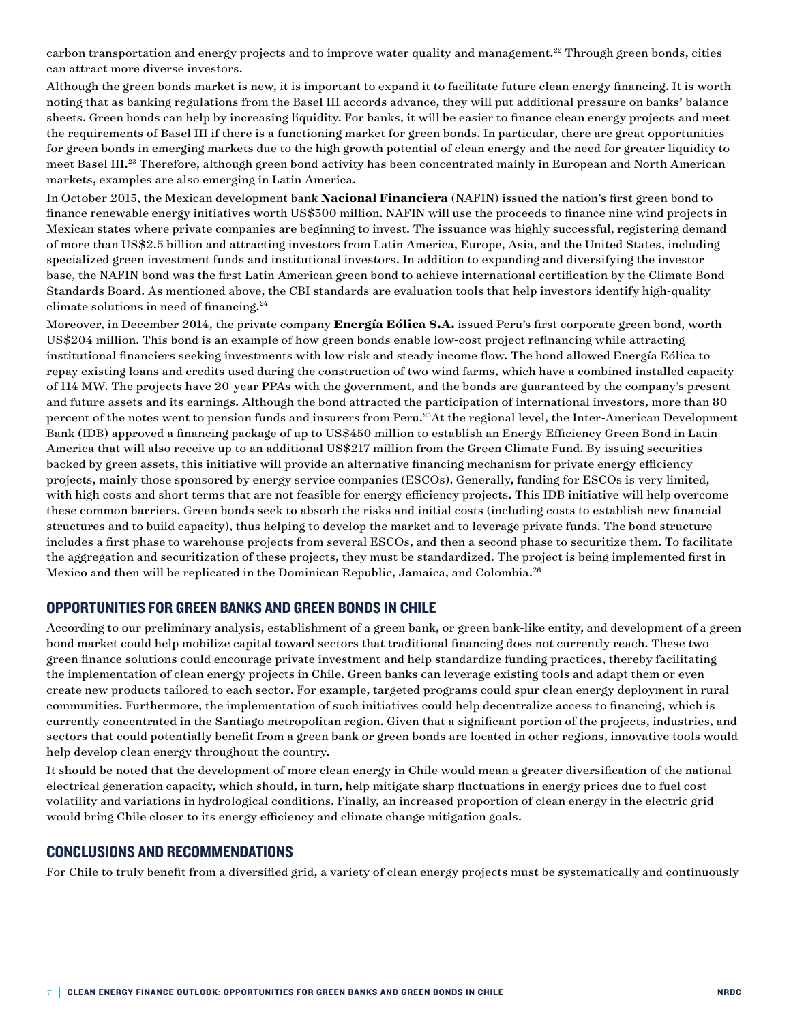carbon transportation and energy projects and to improve water quality and management.<sup>22</sup> Through green bonds, cities can attract more diverse investors.

Although the green bonds market is new, it is important to expand it to facilitate future clean energy financing. It is worth noting that as banking regulations from the Basel III accords advance, they will put additional pressure on banks' balance sheets. Green bonds can help by increasing liquidity. For banks, it will be easier to finance clean energy projects and meet the requirements of Basel III if there is a functioning market for green bonds. In particular, there are great opportunities for green bonds in emerging markets due to the high growth potential of clean energy and the need for greater liquidity to meet Basel III.<sup>23</sup> Therefore, although green bond activity has been concentrated mainly in European and North American markets, examples are also emerging in Latin America.

In October 2015, the Mexican development bank **Nacional Financiera** (NAFIN) issued the nation's first green bond to finance renewable energy initiatives worth US\$500 million. NAFIN will use the proceeds to finance nine wind projects in Mexican states where private companies are beginning to invest. The issuance was highly successful, registering demand of more than US\$2.5 billion and attracting investors from Latin America, Europe, Asia, and the United States, including specialized green investment funds and institutional investors. In addition to expanding and diversifying the investor base, the NAFIN bond was the first Latin American green bond to achieve international certification by the Climate Bond Standards Board. As mentioned above, the CBI standards are evaluation tools that help investors identify high-quality climate solutions in need of financing. $24$ 

Moreover, in December 2014, the private company **Energía Eólica S.A.** issued Peru's first corporate green bond, worth US\$204 million. This bond is an example of how green bonds enable low-cost project refinancing while attracting institutional financiers seeking investments with low risk and steady income flow. The bond allowed Energía Eólica to repay existing loans and credits used during the construction of two wind farms, which have a combined installed capacity of 114 MW. The projects have 20-year PPAs with the government, and the bonds are guaranteed by the company's present and future assets and its earnings. Although the bond attracted the participation of international investors, more than 80 percent of the notes went to pension funds and insurers from Peru.25At the regional level, the Inter-American Development Bank (IDB) approved a financing package of up to US\$450 million to establish an Energy Efficiency Green Bond in Latin America that will also receive up to an additional US\$217 million from the Green Climate Fund. By issuing securities backed by green assets, this initiative will provide an alternative financing mechanism for private energy efficiency projects, mainly those sponsored by energy service companies (ESCOs). Generally, funding for ESCOs is very limited, with high costs and short terms that are not feasible for energy efficiency projects. This IDB initiative will help overcome these common barriers. Green bonds seek to absorb the risks and initial costs (including costs to establish new financial structures and to build capacity), thus helping to develop the market and to leverage private funds. The bond structure includes a first phase to warehouse projects from several ESCOs, and then a second phase to securitize them. To facilitate the aggregation and securitization of these projects, they must be standardized. The project is being implemented first in Mexico and then will be replicated in the Dominican Republic, Jamaica, and Colombia.<sup>26</sup>

# OPPORTUNITIES FOR GREEN BANKS AND GREEN BONDS IN CHILE

According to our preliminary analysis, establishment of a green bank, or green bank-like entity, and development of a green bond market could help mobilize capital toward sectors that traditional financing does not currently reach. These two green finance solutions could encourage private investment and help standardize funding practices, thereby facilitating the implementation of clean energy projects in Chile. Green banks can leverage existing tools and adapt them or even create new products tailored to each sector. For example, targeted programs could spur clean energy deployment in rural communities. Furthermore, the implementation of such initiatives could help decentralize access to financing, which is currently concentrated in the Santiago metropolitan region. Given that a significant portion of the projects, industries, and sectors that could potentially benefit from a green bank or green bonds are located in other regions, innovative tools would help develop clean energy throughout the country.

It should be noted that the development of more clean energy in Chile would mean a greater diversification of the national electrical generation capacity, which should, in turn, help mitigate sharp fluctuations in energy prices due to fuel cost volatility and variations in hydrological conditions. Finally, an increased proportion of clean energy in the electric grid would bring Chile closer to its energy efficiency and climate change mitigation goals.

### CONCLUSIONS AND RECOMMENDATIONS

For Chile to truly benefit from a diversified grid, a variety of clean energy projects must be systematically and continuously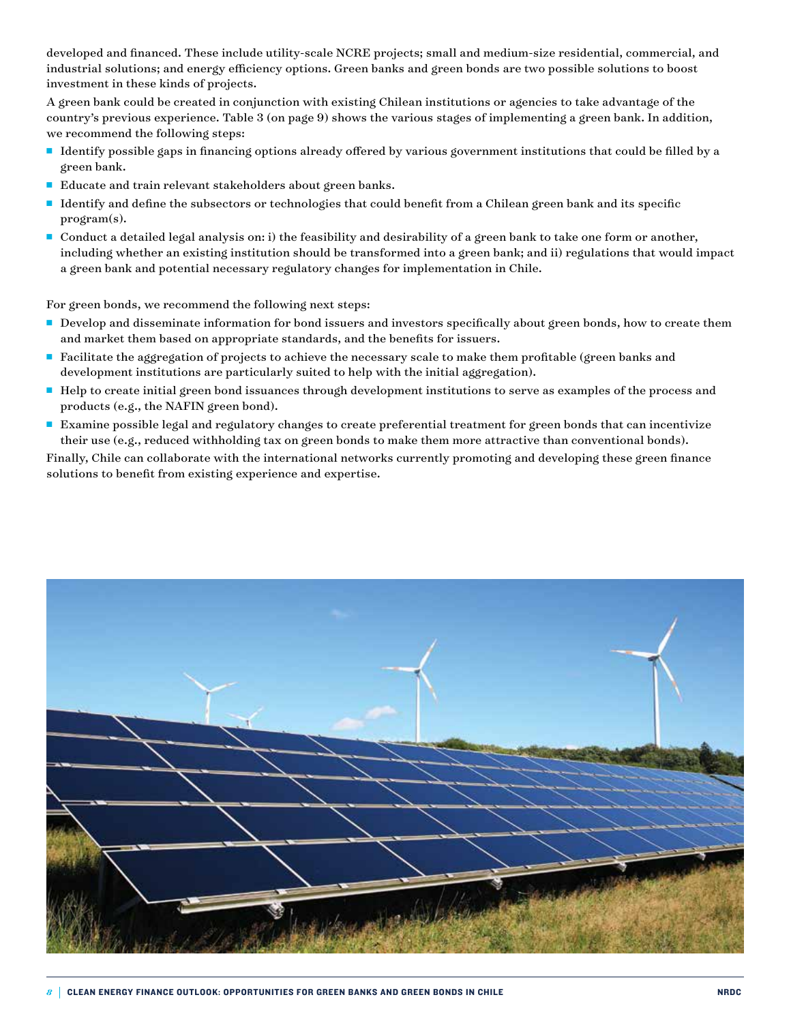developed and financed. These include utility-scale NCRE projects; small and medium-size residential, commercial, and industrial solutions; and energy efficiency options. Green banks and green bonds are two possible solutions to boost investment in these kinds of projects.

A green bank could be created in conjunction with existing Chilean institutions or agencies to take advantage of the country's previous experience. Table 3 (on page 9) shows the various stages of implementing a green bank. In addition, we recommend the following steps:

- Identify possible gaps in financing options already offered by various government institutions that could be filled by a green bank.
- Educate and train relevant stakeholders about green banks.
- <sup>n</sup> Identify and define the subsectors or technologies that could benefit from a Chilean green bank and its specific program(s).
- <sup>n</sup> Conduct a detailed legal analysis on: i) the feasibility and desirability of a green bank to take one form or another, including whether an existing institution should be transformed into a green bank; and ii) regulations that would impact a green bank and potential necessary regulatory changes for implementation in Chile.

For green bonds, we recommend the following next steps:

- Develop and disseminate information for bond issuers and investors specifically about green bonds, how to create them and market them based on appropriate standards, and the benefits for issuers.
- <sup>n</sup> Facilitate the aggregation of projects to achieve the necessary scale to make them profitable (green banks and development institutions are particularly suited to help with the initial aggregation).
- <sup>n</sup> Help to create initial green bond issuances through development institutions to serve as examples of the process and products (e.g., the NAFIN green bond).
- <sup>n</sup> Examine possible legal and regulatory changes to create preferential treatment for green bonds that can incentivize their use (e.g., reduced withholding tax on green bonds to make them more attractive than conventional bonds).

Finally, Chile can collaborate with the international networks currently promoting and developing these green finance solutions to benefit from existing experience and expertise.

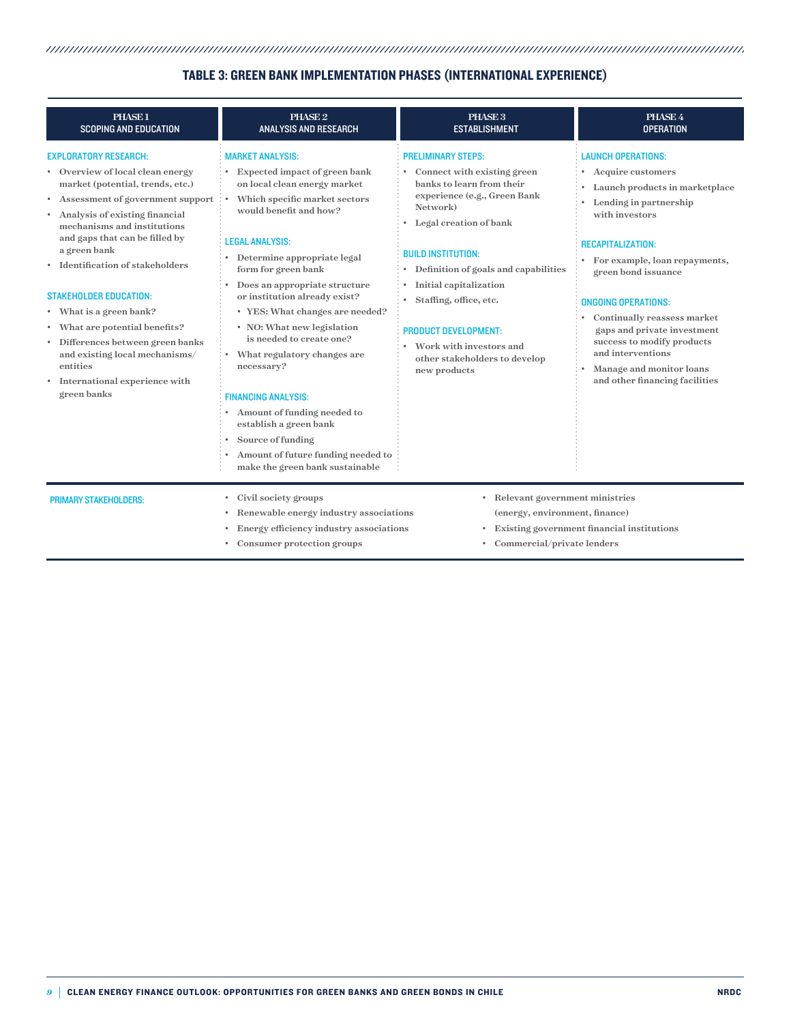# Green bank establishment besteht besteht auf dem dem dem dem besteht auf dem dem dem dem dem dem dem dem dem d TABLE 3: GREEN BANK IMPLEMENTATION PHASES (INTERNATIONAL EXPERIENCE)

| PHASE 1<br><b>SCOPING AND EDUCATION</b>                                                                                                                                                                                                                                                                                                                                                                                                                                                                                                                    | PHASE <sub>2</sub><br><b>ANALYSIS AND RESEARCH</b>                                                                                                                                                                                                                                                                                                                                                                                                                                                                                                                                                                                   | PHASE 3<br><b>ESTABLISHMENT</b>                                                                                                                                                                                                                                                                                                                                                                 | PHASE 4<br><b>OPERATION</b>                                                                                                                                                                                                                                                                                                                                                                                                   |
|------------------------------------------------------------------------------------------------------------------------------------------------------------------------------------------------------------------------------------------------------------------------------------------------------------------------------------------------------------------------------------------------------------------------------------------------------------------------------------------------------------------------------------------------------------|--------------------------------------------------------------------------------------------------------------------------------------------------------------------------------------------------------------------------------------------------------------------------------------------------------------------------------------------------------------------------------------------------------------------------------------------------------------------------------------------------------------------------------------------------------------------------------------------------------------------------------------|-------------------------------------------------------------------------------------------------------------------------------------------------------------------------------------------------------------------------------------------------------------------------------------------------------------------------------------------------------------------------------------------------|-------------------------------------------------------------------------------------------------------------------------------------------------------------------------------------------------------------------------------------------------------------------------------------------------------------------------------------------------------------------------------------------------------------------------------|
| <b>EXPLORATORY RESEARCH:</b><br>• Overview of local clean energy<br>market (potential, trends, etc.)<br>• Assessment of government support<br>Analysis of existing financial<br>$\bullet$<br>mechanisms and institutions<br>and gaps that can be filled by<br>a green bank<br>Identification of stakeholders<br><b>STAKEHOLDER EDUCATION:</b><br>• What is a green bank?<br>• What are potential benefits?<br>· Differences between green banks<br>and existing local mechanisms/<br>entities<br>International experience with<br>$\bullet$<br>green banks | <b>MARKET ANALYSIS:</b><br>Expected impact of green bank<br>on local clean energy market<br>Which specific market sectors<br>would benefit and how?<br><b>LEGAL ANALYSIS:</b><br>Determine appropriate legal<br>form for green bank<br>Does an appropriate structure<br>or institution already exist?<br>• YES: What changes are needed?<br>• NO: What new legislation<br>is needed to create one?<br>What regulatory changes are<br>necessary?<br><b>FINANCING ANALYSIS:</b><br>Amount of funding needed to<br>establish a green bank<br>Source of funding<br>Amount of future funding needed to<br>make the green bank sustainable | <b>PRELIMINARY STEPS:</b><br>Connect with existing green<br>banks to learn from their<br>experience (e.g., Green Bank<br>Network)<br>Legal creation of bank<br><b>BUILD INSTITUTION:</b><br>Definition of goals and capabilities<br>Initial capitalization<br>Staffing, office, etc.<br><b>PRODUCT DEVELOPMENT:</b><br>Work with investors and<br>other stakeholders to develop<br>new products | <b>LAUNCH OPERATIONS:</b><br>Acquire customers<br>Launch products in marketplace<br>Lending in partnership<br>with investors<br><b>RECAPITALIZATION:</b><br>For example, loan repayments,<br>green bond issuance<br><b>ONGOING OPERATIONS:</b><br>Continually reassess market<br>gaps and private investment<br>success to modify products<br>and interventions<br>Manage and monitor loans<br>and other financing facilities |
| <b>PRIMARY STAKEHOLDERS:</b>                                                                                                                                                                                                                                                                                                                                                                                                                                                                                                                               | Civil society groups<br>$\bullet$<br>Renewable energy industry associations<br>$\bullet$<br>Energy efficiency industry associations<br>Consumer protection groups<br>$\bullet$                                                                                                                                                                                                                                                                                                                                                                                                                                                       | • Relevant government ministries<br>(energy, environment, finance)<br>• Commercial/private lenders                                                                                                                                                                                                                                                                                              | Existing government financial institutions                                                                                                                                                                                                                                                                                                                                                                                    |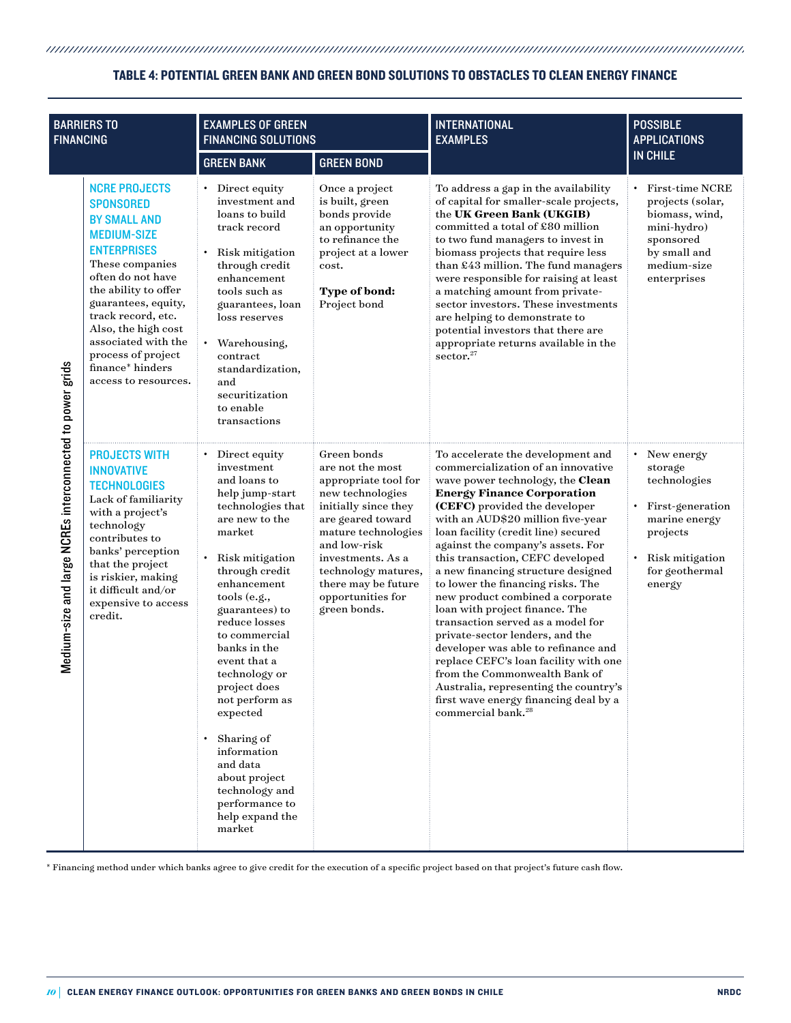# unnummuunnummuunnummuunnummuunnummuunnummuunnummuunnummuunnummuunnummuunnum TABLE 4: POTENTIAL GREEN BANK AND GREEN BOND SOLUTIONS TO OBSTACLES TO CLEAN ENERGY FINANCE

| <b>BARRIERS TO</b><br><b>FINANCING</b>                    |                                                                                                                                                                                                                                                                                                                                          | <b>EXAMPLES OF GREEN</b><br><b>FINANCING SOLUTIONS</b>                                                                                                                                                                                                                                                                                                                                                                                                                |                                                                                                                                                                                                                                                                         | <b>INTERNATIONAL</b><br><b>EXAMPLES</b>                                                                                                                                                                                                                                                                                                                                                                                                                                                                                                                                                                                                                                                                                                                                                              | <b>POSSIBLE</b><br><b>APPLICATIONS</b>                                                                                                             |
|-----------------------------------------------------------|------------------------------------------------------------------------------------------------------------------------------------------------------------------------------------------------------------------------------------------------------------------------------------------------------------------------------------------|-----------------------------------------------------------------------------------------------------------------------------------------------------------------------------------------------------------------------------------------------------------------------------------------------------------------------------------------------------------------------------------------------------------------------------------------------------------------------|-------------------------------------------------------------------------------------------------------------------------------------------------------------------------------------------------------------------------------------------------------------------------|------------------------------------------------------------------------------------------------------------------------------------------------------------------------------------------------------------------------------------------------------------------------------------------------------------------------------------------------------------------------------------------------------------------------------------------------------------------------------------------------------------------------------------------------------------------------------------------------------------------------------------------------------------------------------------------------------------------------------------------------------------------------------------------------------|----------------------------------------------------------------------------------------------------------------------------------------------------|
|                                                           |                                                                                                                                                                                                                                                                                                                                          | <b>GREEN BANK</b>                                                                                                                                                                                                                                                                                                                                                                                                                                                     | <b>GREEN BOND</b>                                                                                                                                                                                                                                                       |                                                                                                                                                                                                                                                                                                                                                                                                                                                                                                                                                                                                                                                                                                                                                                                                      | <b>IN CHILE</b>                                                                                                                                    |
| Medium-size and large NCREs interconnected to power grids | <b>NCRE PROJECTS</b><br><b>SPONSORED</b><br><b>BY SMALL AND</b><br><b>MEDIUM-SIZE</b><br><b>ENTERPRISES</b><br>These companies<br>often do not have<br>the ability to offer<br>guarantees, equity,<br>track record, etc.<br>Also, the high cost<br>associated with the<br>process of project<br>finance* hinders<br>access to resources. | • Direct equity<br>investment and<br>loans to build<br>track record<br>• Risk mitigation<br>through credit<br>enhancement<br>tools such as<br>guarantees, loan<br>loss reserves<br>$\bullet$<br>Warehousing,<br>contract<br>standardization,<br>and<br>securitization<br>to enable<br>transactions                                                                                                                                                                    | Once a project<br>is built, green<br>bonds provide<br>an opportunity<br>to refinance the<br>project at a lower<br>cost.<br>Type of bond:<br>Project bond                                                                                                                | To address a gap in the availability<br>of capital for smaller-scale projects,<br>the UK Green Bank (UKGIB)<br>committed a total of £80 million<br>to two fund managers to invest in<br>biomass projects that require less<br>than £43 million. The fund managers<br>were responsible for raising at least<br>a matching amount from private-<br>sector investors. These investments<br>are helping to demonstrate to<br>potential investors that there are<br>appropriate returns available in the<br>sector. <sup>27</sup>                                                                                                                                                                                                                                                                         | <b>First-time NCRE</b><br>projects (solar,<br>biomass, wind,<br>mini-hydro)<br>sponsored<br>by small and<br>medium-size<br>enterprises             |
|                                                           | <b>PROJECTS WITH</b><br><b>INNOVATIVE</b><br><b>TECHNOLOGIES</b><br>Lack of familiarity<br>with a project's<br>technology<br>contributes to<br>banks' perception<br>that the project<br>is riskier, making<br>it difficult and/or<br>expensive to access<br>credit.                                                                      | • Direct equity<br>investment<br>and loans to<br>help jump-start<br>technologies that<br>are new to the<br>market<br>• Risk mitigation<br>through credit<br>enhancement<br>tools (e.g.,<br>guarantees) to<br>reduce losses<br>to commercial<br>banks in the<br>event that a<br>technology or<br>project does<br>not perform as<br>expected<br>Sharing of<br>information<br>and data<br>about project<br>technology and<br>performance to<br>help expand the<br>market | Green bonds<br>are not the most<br>appropriate tool for<br>new technologies<br>initially since they<br>are geared toward<br>mature technologies<br>and low-risk<br>investments. As a<br>technology matures,<br>there may be future<br>opportunities for<br>green bonds. | To accelerate the development and<br>commercialization of an innovative<br>wave power technology, the Clean<br><b>Energy Finance Corporation</b><br>(CEFC) provided the developer<br>with an AUD\$20 million five-year<br>loan facility (credit line) secured<br>against the company's assets. For<br>this transaction, CEFC developed<br>a new financing structure designed<br>to lower the financing risks. The<br>new product combined a corporate<br>loan with project finance. The<br>transaction served as a model for<br>private-sector lenders, and the<br>developer was able to refinance and<br>replace CEFC's loan facility with one<br>from the Commonwealth Bank of<br>Australia, representing the country's<br>first wave energy financing deal by a<br>commercial bank. <sup>28</sup> | New energy<br>$\bullet$<br>storage<br>technologies<br>First-generation<br>marine energy<br>projects<br>Risk mitigation<br>for geothermal<br>energy |

\* Financing method under which banks agree to give credit for the execution of a specific project based on that project's future cash flow.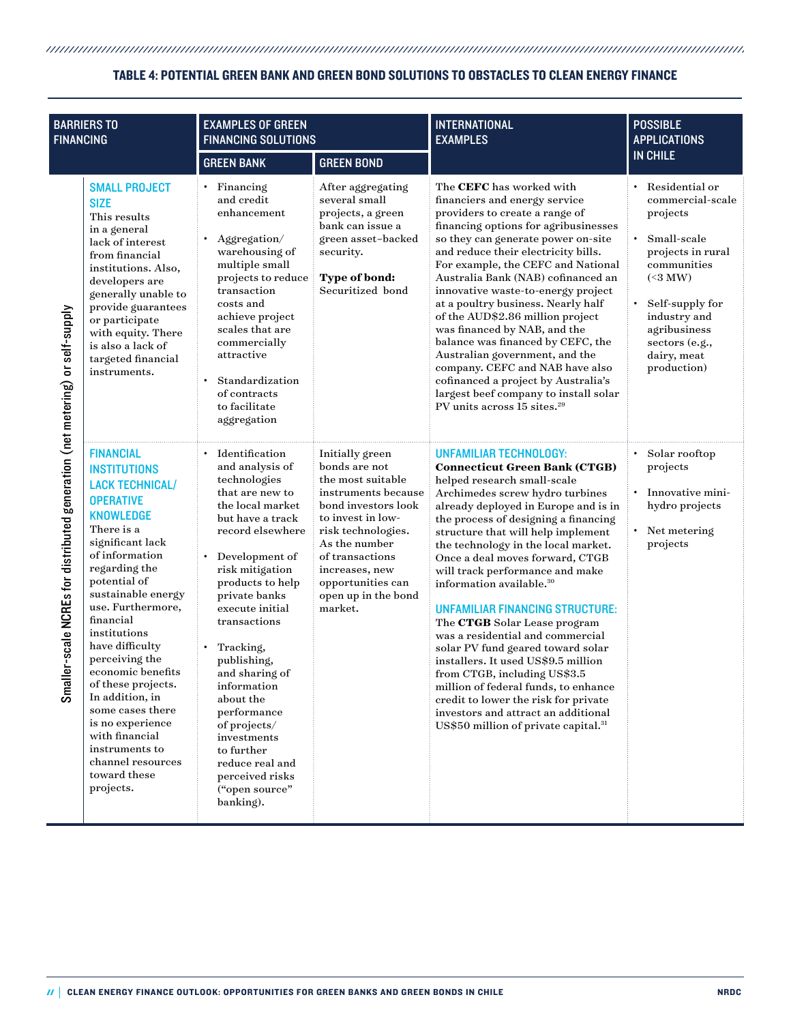# unnummuunnummuunnummuunnummuunnummuunnummuunnummuunnummuunnummuunnummuunnummuun TABLE 4: POTENTIAL GREEN BANK AND GREEN BOND SOLUTIONS TO OBSTACLES TO CLEAN ENERGY FINANCE

| <b>BARRIERS TO</b><br><b>FINANCING</b>                                            |                                                                                                                                                                                                                                                                                                                                                                                                                                                                                                         | <b>EXAMPLES OF GREEN</b><br><b>FINANCING SOLUTIONS</b>                                                                                                                                                                                                                                                                                                                                                                                                       |                                                                                                                                                                                                                                                             | <b>INTERNATIONAL</b><br><b>EXAMPLES</b>                                                                                                                                                                                                                                                                                                                                                                                                                                                                                                                                                                                                                                                                                                                                                                          | <b>POSSIBLE</b><br><b>APPLICATIONS</b>                                                                                                                                                                                        |
|-----------------------------------------------------------------------------------|---------------------------------------------------------------------------------------------------------------------------------------------------------------------------------------------------------------------------------------------------------------------------------------------------------------------------------------------------------------------------------------------------------------------------------------------------------------------------------------------------------|--------------------------------------------------------------------------------------------------------------------------------------------------------------------------------------------------------------------------------------------------------------------------------------------------------------------------------------------------------------------------------------------------------------------------------------------------------------|-------------------------------------------------------------------------------------------------------------------------------------------------------------------------------------------------------------------------------------------------------------|------------------------------------------------------------------------------------------------------------------------------------------------------------------------------------------------------------------------------------------------------------------------------------------------------------------------------------------------------------------------------------------------------------------------------------------------------------------------------------------------------------------------------------------------------------------------------------------------------------------------------------------------------------------------------------------------------------------------------------------------------------------------------------------------------------------|-------------------------------------------------------------------------------------------------------------------------------------------------------------------------------------------------------------------------------|
|                                                                                   |                                                                                                                                                                                                                                                                                                                                                                                                                                                                                                         | <b>GREEN BANK</b>                                                                                                                                                                                                                                                                                                                                                                                                                                            | <b>GREEN BOND</b>                                                                                                                                                                                                                                           |                                                                                                                                                                                                                                                                                                                                                                                                                                                                                                                                                                                                                                                                                                                                                                                                                  | <b>IN CHILE</b>                                                                                                                                                                                                               |
| aller-scale NCREs for distributed generation (net metering) or self-supply<br>င္တ | <b>SMALL PROJECT</b><br><b>SIZE</b><br>This results<br>in a general<br>lack of interest<br>from financial<br>institutions. Also,<br>developers are<br>generally unable to<br>provide guarantees<br>or participate<br>with equity. There<br>is also a lack of<br>targeted financial<br>instruments.                                                                                                                                                                                                      | • Financing<br>and credit<br>enhancement<br>Aggregation/<br>warehousing of<br>multiple small<br>projects to reduce<br>transaction<br>costs and<br>achieve project<br>scales that are<br>commercially<br>attractive<br>Standardization<br>of contracts<br>to facilitate<br>aggregation                                                                                                                                                                        | After aggregating<br>several small<br>projects, a green<br>bank can issue a<br>green asset-backed<br>security.<br>Type of bond:<br>Securitized bond                                                                                                         | The CEFC has worked with<br>financiers and energy service<br>providers to create a range of<br>financing options for agribusinesses<br>so they can generate power on-site<br>and reduce their electricity bills.<br>For example, the CEFC and National<br>Australia Bank (NAB) cofinanced an<br>innovative waste-to-energy project<br>at a poultry business. Nearly half<br>of the AUD\$2.86 million project<br>was financed by NAB, and the<br>balance was financed by CEFC, the<br>Australian government, and the<br>company. CEFC and NAB have also<br>cofinanced a project by Australia's<br>largest beef company to install solar<br>PV units across 15 sites. <sup>29</sup>                                                                                                                                | Residential or<br>commercial-scale<br>projects<br>Small-scale<br>projects in rural<br>communities<br>$(\leq 3 \text{ MW})$<br>Self-supply for<br>industry and<br>agribusiness<br>sectors (e.g.,<br>dairy, meat<br>production) |
|                                                                                   | <b>FINANCIAL</b><br><b>INSTITUTIONS</b><br><b>LACK TECHNICAL/</b><br><b>OPERATIVE</b><br><b>KNOWLEDGE</b><br>There is a<br>significant lack<br>of information<br>regarding the<br>potential of<br>sustainable energy<br>use. Furthermore,<br>financial<br>institutions<br>have difficulty<br>perceiving the<br>economic benefits<br>of these projects.<br>In addition, in<br>some cases there<br>is no experience<br>with financial<br>instruments to<br>channel resources<br>toward these<br>projects. | • Identification<br>and analysis of<br>technologies<br>that are new to<br>the local market<br>but have a track<br>record elsewhere<br>• Development of<br>risk mitigation<br>products to help<br>private banks<br>execute initial<br>transactions<br>Tracking,<br>publishing,<br>and sharing of<br>information<br>about the<br>performance<br>of projects/<br>investments<br>to further<br>reduce real and<br>perceived risks<br>("open source"<br>banking). | Initially green<br>bonds are not<br>the most suitable<br>instruments because<br>bond investors look<br>to invest in low-<br>risk technologies.<br>As the number<br>of transactions<br>increases, new<br>opportunities can<br>open up in the bond<br>market. | UNFAMILIAR TECHNOLOGY:<br><b>Connecticut Green Bank (CTGB)</b><br>helped research small-scale<br>Archimedes screw hydro turbines<br>already deployed in Europe and is in<br>the process of designing a financing<br>structure that will help implement<br>the technology in the local market.<br>Once a deal moves forward, CTGB<br>will track performance and make<br>information available. <sup>30</sup><br><b>UNFAMILIAR FINANCING STRUCTURE:</b><br>The CTGB Solar Lease program<br>was a residential and commercial<br>solar PV fund geared toward solar<br>installers. It used US\$9.5 million<br>from CTGB, including US\$3.5<br>million of federal funds, to enhance<br>credit to lower the risk for private<br>investors and attract an additional<br>US\$50 million of private capital. <sup>31</sup> | Solar rooftop<br>projects<br>Innovative mini-<br>hydro projects<br>Net metering<br>projects                                                                                                                                   |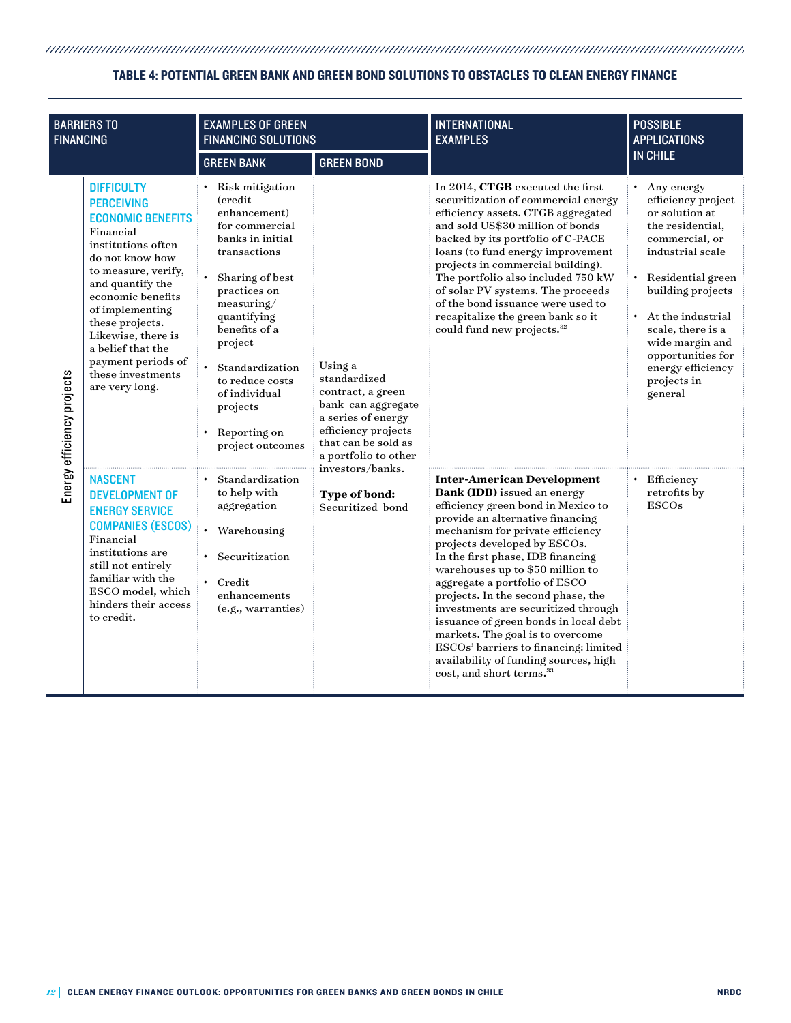# unnummuunnummuunnummuunnummuunnummuunnummuunnummuunnummuunnummuunnummuunnummuun TABLE 4: POTENTIAL GREEN BANK AND GREEN BOND SOLUTIONS TO OBSTACLES TO CLEAN ENERGY FINANCE

| <b>BARRIERS TO</b><br><b>FINANCING</b> |                                                                                                                                                                                                                                                                                                                                        | <b>EXAMPLES OF GREEN</b><br><b>FINANCING SOLUTIONS</b>                                                                                                                                                                                                                                                   |                                                                                                                                                                                                                         | <b>INTERNATIONAL</b><br><b>EXAMPLES</b>                                                                                                                                                                                                                                                                                                                                                                                                                                                                                                                                                                      | <b>POSSIBLE</b><br><b>APPLICATIONS</b>                                                                                                                                                                                                                                                               |
|----------------------------------------|----------------------------------------------------------------------------------------------------------------------------------------------------------------------------------------------------------------------------------------------------------------------------------------------------------------------------------------|----------------------------------------------------------------------------------------------------------------------------------------------------------------------------------------------------------------------------------------------------------------------------------------------------------|-------------------------------------------------------------------------------------------------------------------------------------------------------------------------------------------------------------------------|--------------------------------------------------------------------------------------------------------------------------------------------------------------------------------------------------------------------------------------------------------------------------------------------------------------------------------------------------------------------------------------------------------------------------------------------------------------------------------------------------------------------------------------------------------------------------------------------------------------|------------------------------------------------------------------------------------------------------------------------------------------------------------------------------------------------------------------------------------------------------------------------------------------------------|
|                                        |                                                                                                                                                                                                                                                                                                                                        | <b>GREEN BANK</b>                                                                                                                                                                                                                                                                                        | <b>GREEN BOND</b>                                                                                                                                                                                                       |                                                                                                                                                                                                                                                                                                                                                                                                                                                                                                                                                                                                              | <b>IN CHILE</b>                                                                                                                                                                                                                                                                                      |
| Energy efficiency projects             | <b>DIFFICULTY</b><br><b>PERCEIVING</b><br><b>ECONOMIC BENEFITS</b><br>Financial<br>institutions often<br>do not know how<br>to measure, verify,<br>and quantify the<br>economic benefits<br>of implementing<br>these projects.<br>Likewise, there is<br>a belief that the<br>payment periods of<br>these investments<br>are very long. | · Risk mitigation<br>(credit)<br>enhancement)<br>for commercial<br>banks in initial<br>transactions<br>Sharing of best<br>practices on<br>measuring/<br>quantifying<br>benefits of a<br>project<br>Standardization<br>to reduce costs<br>of individual<br>projects<br>• Reporting on<br>project outcomes | Using a<br>standardized<br>contract, a green<br>bank can aggregate<br>a series of energy<br>efficiency projects<br>that can be sold as<br>a portfolio to other<br>investors/banks.<br>Type of bond:<br>Securitized bond | In 2014, CTGB executed the first<br>securitization of commercial energy<br>efficiency assets. CTGB aggregated<br>and sold US\$30 million of bonds<br>backed by its portfolio of C-PACE<br>loans (to fund energy improvement<br>projects in commercial building).<br>The portfolio also included 750 kW<br>of solar PV systems. The proceeds<br>of the bond issuance were used to<br>recapitalize the green bank so it<br>could fund new projects. <sup>32</sup>                                                                                                                                              | Any energy<br>efficiency project<br>or solution at<br>the residential,<br>commercial, or<br>industrial scale<br>Residential green<br>building projects<br>At the industrial<br>$\bullet$<br>scale, there is a<br>wide margin and<br>opportunities for<br>energy efficiency<br>projects in<br>general |
|                                        | <b>NASCENT</b><br><b>DEVELOPMENT OF</b><br><b>ENERGY SERVICE</b><br><b>COMPANIES (ESCOS)</b><br>Financial<br>institutions are<br>still not entirely<br>familiar with the<br>ESCO model, which<br>hinders their access<br>to credit.                                                                                                    | Standardization<br>to help with<br>aggregation<br>• Warehousing<br>• Securitization<br>$\cdot$ Credit<br>enhancements<br>(e.g., warranties)                                                                                                                                                              |                                                                                                                                                                                                                         | <b>Inter-American Development</b><br>Bank (IDB) issued an energy<br>efficiency green bond in Mexico to<br>provide an alternative financing<br>mechanism for private efficiency<br>projects developed by ESCOs.<br>In the first phase, IDB financing<br>warehouses up to \$50 million to<br>aggregate a portfolio of ESCO<br>projects. In the second phase, the<br>investments are securitized through<br>issuance of green bonds in local debt<br>markets. The goal is to overcome<br>ESCOs' barriers to financing: limited<br>availability of funding sources, high<br>cost, and short terms. <sup>33</sup> | • Efficiency<br>retrofits by<br><b>ESCOs</b>                                                                                                                                                                                                                                                         |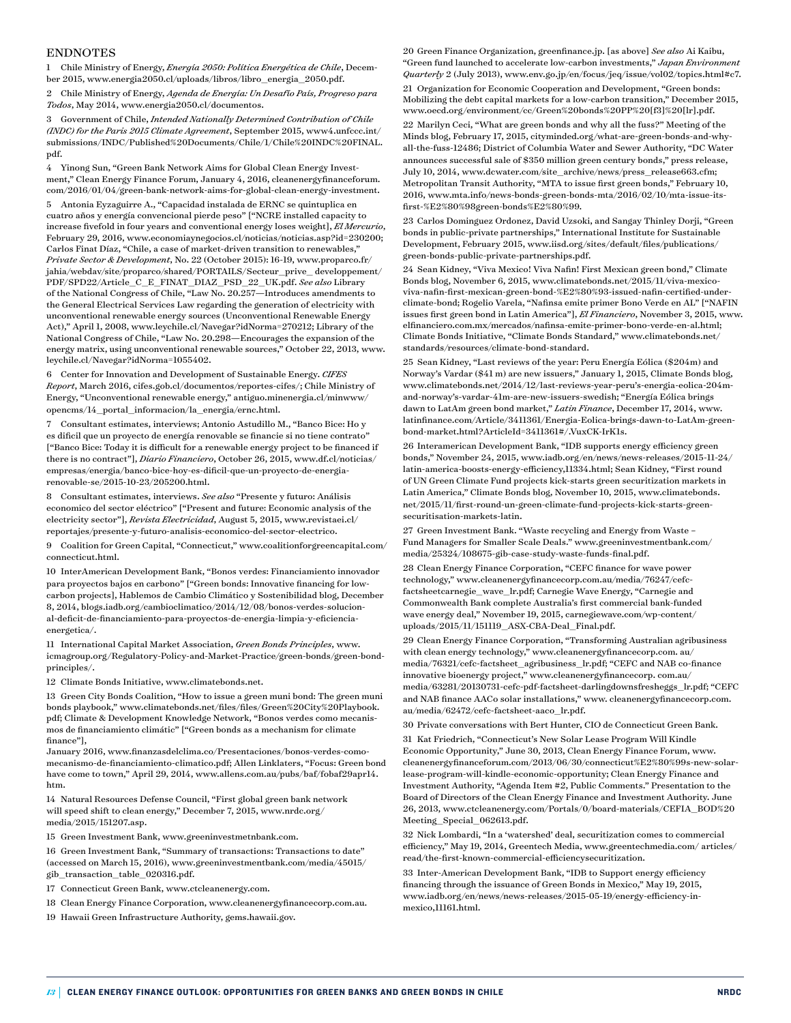#### ENDNOTES

1 Chile Ministry of Energy, *Energía 2050: Política Energética de Chile*, December 2015, [www.energia2050.cl/uploads/libros/libro\\_](http://www.energia2050.cl/uploads/libros/libro_)energia\_2050.pdf.

2 Chile Ministry of Energy, *Agenda de Energía: Un Desafío País, Progreso para Todos*, May 2014, [www.energia2050.cl/documentos.](http://www.energia2050.cl/documentos)

3 Government of Chile, *Intended Nationally Determined Contribution of Chile (INDC) for the Paris 2015 Climate Agreement*, September 2015, www4.unfccc.int/ submissions/INDC/Published%20Documents/Chile/1/Chile%20INDC%20FINAL. pdf.

4 Yinong Sun, "Green Bank Network Aims for Global Clean Energy Investment," Clean Energy Finance Forum, January 4, 2016, cleanenergyfinanceforum. com/2016/01/04/green-bank-network-aims-for-global-clean-energy-investment.

5 Antonia Eyzaguirre A., "Capacidad instalada de ERNC se quintuplica en cuatro años y energía convencional pierde peso" ["NCRE installed capacity to increase fivefold in four years and conventional energy loses weight], *El Mercurio*, February 29, 2016, [www.economiaynegocios.cl/noticias/noticias.asp?id=230200;](http://www.economiaynegocios.cl/noticias/noticias.asp?id=230200%3B)  Carlos Finat Díaz, "Chile, a case of market-driven transition to renewables," *Private Sector & Development*, No. 22 (October 2015): 16-19, [www.proparco.fr/](http://www.proparco.fr/jahia/webdav/site/proparco/shared/PORTAILS/Secteur_prive_)  $\it jahia/webdav/site/proparco/shared/PORTALLS/Section\_private\_development/$ PDF/SPD22/Article\_C\_E\_FINAT\_DIAZ\_PSD\_22\_UK.pdf. *See also* Library of the National Congress of Chile, "Law No. 20.257—Introduces amendments to the General Electrical Services Law regarding the generation of electricity with unconventional renewable energy sources (Unconventional Renewable Energy Act)," April 1, 2008, [www.leychile.cl/Navegar?idNorma=270212;](http://www.leychile.cl/Navegar?idNorma=270212%3B) Library of the National Congress of Chile, "Law No. 20.298—Encourages the expansion of the energy matrix, using unconventional renewable sources," October 22, 2013, [www.](http://www.leychile.cl/Navegar?idNorma=1055402) [leychile.cl/Navegar?idNorma=1055402.](http://www.leychile.cl/Navegar?idNorma=1055402)

6 Center for Innovation and Development of Sustainable Energy. *CIFES Report*, March 2016, cifes.gob.cl/documentos/reportes-cifes/; Chile Ministry of Energy, "Unconventional renewable energy," antiguo.minenergia.cl/minwww/ opencms/14\_portal\_informacion/la\_energia/ernc.html.

7 Consultant estimates, interviews; Antonio Astudillo M., "Banco Bice: Ho y es dificil que un proyecto de energía renovable se financie si no tiene contrato" ["Banco Bice: Today it is difficult for a renewable energy project to be financed if there is no contract"], *Diario Financiero*, October 26, 2015, [www.df.cl/noticias/](http://www.df.cl/noticias/empresas/energia/banco-bice-hoy-es-dificil-que-un-proyecto-de-energia-) [empresas/energia/banco-bice-hoy-es-dificil-que-un-proyecto-de-energia](http://www.df.cl/noticias/empresas/energia/banco-bice-hoy-es-dificil-que-un-proyecto-de-energia-)renovable-se/2015-10-23/205200.html.

8 Consultant estimates, interviews. *See also* "Presente y futuro: Análisis economico del sector eléctrico" ["Present and future: Economic analysis of the electricity sector"], *Revista Electricidad*, August 5, 2015, [www.revistaei.cl/](http://www.revistaei.cl/reportajes/presente-y-futuro-analisis-economico-del-sector-electrico) [reportajes/presente-y-futuro-analisis-economico-del-sector-electrico.](http://www.revistaei.cl/reportajes/presente-y-futuro-analisis-economico-del-sector-electrico)

9 Coalition for Green Capital, "Connecticut," [www.coalitionforgreencapital.com/](http://www.coalitionforgreencapital.com/connecticut.html.) [connecticut.html.](http://www.coalitionforgreencapital.com/connecticut.html.)

10 InterAmerican Development Bank, "Bonos verdes: Financiamiento innovador para proyectos bajos en carbono" ["Green bonds: Innovative financing for lowcarbon projects], Hablemos de Cambio Climático y Sostenibilidad blog, December 8, 2014, blogs.iadb.org/cambioclimatico/2014/12/08/bonos-verdes-solucional-deficit-de-financiamiento-para-proyectos-de-energia-limpia-y-eficienciaenergetica/.

11 International Capital Market Association, *Green Bonds Principles*, www. icmagroup.org/Regulatory-Policy-and-Market-Practice/green-bonds/green-bondprinciples/.

12 Climate Bonds Initiative, [www.climatebonds.net.](http://www.climatebonds.net/)

13 Green City Bonds Coalition, "How to issue a green muni bond: The green muni bonds playbook," [www.climatebonds.net/files/files/Green%20C](http://www.climatebonds.net/files/files/Green)ity%20Playbook. pdf; Climate & Development Knowledge Network, "Bonos verdes como mecanismos de financiamiento climátic" ["Green bonds as a mechanism for climate finance"],

January 2016, [www.fi](http://www/)nanzasdelclima.co/Presentaciones/bonos-verdes-comomecanismo-de-financiamiento-climatico.pdf; Allen Linklaters, "Focus: Green bond have come to town," April 29, 2014, [www.allens.com.au/pubs/baf/fobaf29apr14.](http://www.allens.com.au/pubs/baf/fobaf29apr14.htm.) [htm.](http://www.allens.com.au/pubs/baf/fobaf29apr14.htm.)

14 Natural Resources Defense Council, "First global green bank network will speed shift to clean energy," December 7, 2015, www.nrdc.org/ media/2015/151207.asp.

15 Green Investment Bank, [www.greeninvestmetnbank.com.](http://www.greeninvestmetnbank.com/)

16 Green Investment Bank, "Summary of transactions: Transactions to date" (accessed on March 15, 2016), [www.greeninvestmentbank.com/](http://www.greeninvestmentbank.com/)media/45015/ gib\_transaction\_table\_020316.pdf.

17 Connecticut Green Bank, [www.ctcleanenergy.com.](http://www.ctcleanenergy.com/)

18 Clean Energy Finance Corporation, [www.cleanenergyfinancecorp.com.au.](http://www.cleanenergyfinancecorp.com.au/)

19 Hawaii Green Infrastructure Authority, gems.hawaii.gov.

20 Green Finance Organization, greenfinance.jp. [as above] *See also* Ai Kaibu, "Green fund launched to accelerate low-carbon investments," *Japan Environment Quarterly* 2 (July 2013), [www.env.go.jp/en/focus/jeq/issue/vol02/topics.html#c7.](http://www.env.go.jp/en/focus/jeq/issue/vol02/topics.html#c7) 21 Organization for Economic Cooperation and Development, "Green bonds: Mobilizing the debt capital markets for a low-carbon transition," December 2015, www.oecd.org/environment/cc/Green%20bonds%20PP%20[f3]%20[lr].pdf.

22 Marilyn Ceci, "What are green bonds and why all the fuss?" Meeting of the Minds blog, February 17, 2015, cityminded.org/what-are-green-[bonds-and-why](http://cityminded.org/what-are-green-bonds-and-why-all-the-fuss-12486)[all-the-fuss-12486;](http://cityminded.org/what-are-green-bonds-and-why-all-the-fuss-12486) District of Columbia Water and Sewer Authority, "DC Water announces successful sale of \$350 million green century bonds," press release, July 10, 2014, [www.dcwater.com/site\\_archive/news/press\\_release663.cfm;](http://www.dcwater.com/site_archive/news/press_release663.cfm)  Metropolitan Transit Authority, "MTA to issue first green bonds," February 10, 2016, [www.mta.info/news-bonds-green-bonds-mta/2016/02/10/mta-issue-its](http://www.mta.info/news-bonds-green-bonds-mta/2016/02/10/mta-issue-its-first-%E2%80%98green-bonds%E2%80%99)[first-%E2%80%98green-bonds%E2%80%99.](http://www.mta.info/news-bonds-green-bonds-mta/2016/02/10/mta-issue-its-first-%E2%80%98green-bonds%E2%80%99)

23 Carlos Dominguez Ordonez, David Uzsoki, and Sangay Thinley Dorji, "Green bonds in public-private partnerships," International Institute for Sustainable Development, February 2015, www.iisd.org/sites/default/files/publications/ green-bonds-public-private-partnerships.pdf.

24 Sean Kidney, "Viva Mexico! Viva Nafin! First Mexican green bond," Climate Bonds blog, November 6, 2015, [www.climatebonds.net/2015/11/viva-](http://www.climatebonds.net/2015/11/viva-)mexicoviva-nafin-first-mexican-green-bond-%E2%80%93-issued-nafin-certified-underclimate-bond; Rogelio Varela, "Nafinsa emite primer Bono Verde en AL" ["NAFIN issues first green bond in Latin America"], *El Financiero*, November 3, 2015, [www.](http://www.elfinanciero.com.mx/mercados/nafinsa-emite-primer-bono-verde-en-al.html%3B) [elfinanciero.com.mx/mercados/nafinsa-emite-primer-bono-verde-en-al.html;](http://www.elfinanciero.com.mx/mercados/nafinsa-emite-primer-bono-verde-en-al.html%3B)  Climate Bonds Initiative, "Climate Bonds Standard," [www.](http://www/)climatebonds.net/ standards/resources/climate-bond-standard.

25 Sean Kidney, "Last reviews of the year: Peru Energía Eólica (\$204m) and Norway's Vardar (\$41 m) are new issuers," January 1, 2015, Climate Bonds blog, [www.climatebonds.net/2014/12/last-reviews-year-peru's-energia-eolica-204m](http://www.climatebonds.net/2014/12/last-reviews-year-peru%E2%80%99s-energia-eolica-204m-and-norway%E2%80%99s-vardar-41m-are-new-issuers-swedish)[and-norway's-vardar-41m-are-new-issuers-swedish](http://www.climatebonds.net/2014/12/last-reviews-year-peru%E2%80%99s-energia-eolica-204m-and-norway%E2%80%99s-vardar-41m-are-new-issuers-swedish); "Energía Eólica brings dawn to LatAm green bond market," *Latin Finance*, December 17, 2014, [www.](http://www.latinfinance.com/Article/3411361/Energia-Eolica-brings-dawn-to-) [latinfinance.com/Article/3411361/Energia-Eolica-brings-dawn-to-](http://www.latinfinance.com/Article/3411361/Energia-Eolica-brings-dawn-to-)LatAm-greenbond-market.html?ArticleId=3411361#/.VuxCK-IrK1s.

26 Interamerican Development Bank, "IDB supports energy efficiency green bonds," November 24, 2015, www.iadb.org/en/news/news-releases/2015-11-24/ latin-america-boosts-energy-efficiency,11334.html; Sean Kidney, "First round of UN Green Climate Fund projects kick-starts green securitization markets in Latin America," Climate Bonds blog, November 10, 2015, [www.climatebonds.](http://www.climatebonds.net/2015/11/first-round-un-green-climate-fund-) [net/2015/11/first-round-un-green-climate-fund-](http://www.climatebonds.net/2015/11/first-round-un-green-climate-fund-)projects-kick-starts-greensecuritisation-markets-latin.

27 Green Investment Bank. "Waste recycling and Energy from Waste – Fund Managers for Smaller Scale Deals." www.greeninvestmentbank.com/ media/25324/108675-gib-case-study-waste-funds-final.pdf.

28 Clean Energy Finance Corporation, "CEFC finance for wave power technology," www.cleanenergyfinancecorp.com.au/media/76247/cefcfactsheetcarnegie\_wave\_lr.pdf; Carnegie Wave Energy, "Carnegie and Commonwealth Bank complete Australia's first commercial bank-funded wave energy deal," November 19, 2015, carnegiewave.com/wp-content/ uploads/2015/11/151119\_ASX-CBA-Deal\_Final.pdf.

29 Clean Energy Finance Corporation, "Transforming Australian agribusiness with clean energy technology," www.cleanenergyfinancecorp.com. au/ media/76321/cefc-factsheet\_agribusiness\_lr.pdf; "CEFC and NAB co-finance innovative bioenergy project," www.cleanenergyfinancecorp. com.au/ media/63281/20130731-cefc-pdf-factsheet-darlingdownsfresheggs\_lr.pdf; "CEFC and NAB finance AACo solar installations," www. cleanenergyfinancecorp.com. au/media/62472/cefc-factsheet-aaco\_lr.pdf.

30 Private conversations with Bert Hunter, CIO de Connecticut Green Bank.

31 Kat Friedrich, "Connecticut's New Solar Lease Program Will Kindle

Economic Opportunity," June 30, 2013, Clean Energy Finance Forum, www. cleanenergyfinanceforum.com/2013/06/30/connecticut%E2%80%99s-new-solarlease-program-will-kindle-economic-opportunity; Clean Energy Finance and Investment Authority, "Agenda Item #2, Public Comments." Presentation to the Board of Directors of the Clean Energy Finance and Investment Authority. June 26, 2013, www.ctcleanenergy.com/Portals/0/board-materials/CEFIA\_BOD%20 Meeting\_Special\_062613.pdf.

32 Nick Lombardi, "In a 'watershed' deal, securitization comes to commercial efficiency," May 19, 2014, Greentech Media, www.greentechmedia.com/ articles/ read/the-first-known-commercial-efficiencysecuritization.

33 Inter-American Development Bank, "IDB to Support energy efficiency financing through the issuance of Green Bonds in Mexico," May 19, 2015, www.iadb.org/en/news/news-releases/2015-05-19/energy-efficiency-inmexico,11161.html.